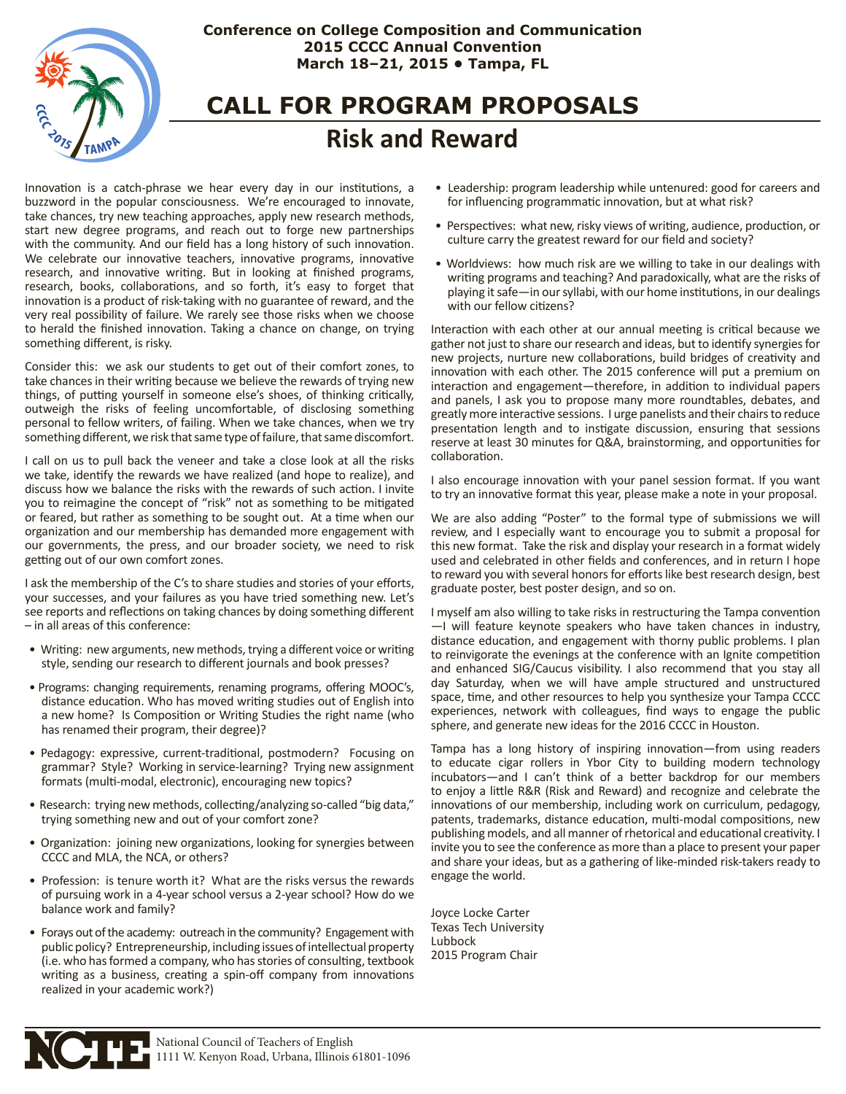

# **Conference on College Composition and Communication 2015 CCCC Annual Convention March 18–21, 2015 • Tampa, FL**

# **CALL FOR PROGRAM PROPOSALS Risk and Reward**

Innovation is a catch-phrase we hear every day in our institutions, a buzzword in the popular consciousness. We're encouraged to innovate, take chances, try new teaching approaches, apply new research methods, start new degree programs, and reach out to forge new partnerships with the community. And our field has a long history of such innovation. We celebrate our innovative teachers, innovative programs, innovative research, and innovative writing. But in looking at finished programs, research, books, collaborations, and so forth, it's easy to forget that innovation is a product of risk-taking with no guarantee of reward, and the very real possibility of failure. We rarely see those risks when we choose to herald the finished innovation. Taking a chance on change, on trying something different, is risky.

Consider this: we ask our students to get out of their comfort zones, to take chances in their writing because we believe the rewards of trying new things, of putting yourself in someone else's shoes, of thinking critically, outweigh the risks of feeling uncomfortable, of disclosing something personal to fellow writers, of failing. When we take chances, when we try something different, we risk that same type of failure, that same discomfort.

I call on us to pull back the veneer and take a close look at all the risks we take, identify the rewards we have realized (and hope to realize), and discuss how we balance the risks with the rewards of such action. I invite you to reimagine the concept of "risk" not as something to be mitigated or feared, but rather as something to be sought out. At a time when our organization and our membership has demanded more engagement with our governments, the press, and our broader society, we need to risk getting out of our own comfort zones.

I ask the membership of the C's to share studies and stories of your efforts, your successes, and your failures as you have tried something new. Let's see reports and reflections on taking chances by doing something different – in all areas of this conference:

- Writing: new arguments, new methods, trying a different voice or writing style, sending our research to different journals and book presses?
- Programs: changing requirements, renaming programs, offering MOOC's, distance education. Who has moved writing studies out of English into a new home? Is Composition or Writing Studies the right name (who has renamed their program, their degree)?
- Pedagogy: expressive, current-traditional, postmodern? Focusing on grammar? Style? Working in service-learning? Trying new assignment formats (multi-modal, electronic), encouraging new topics?
- Research: trying new methods, collecting/analyzing so-called "big data," trying something new and out of your comfort zone?
- Organization: joining new organizations, looking for synergies between CCCC and MLA, the NCA, or others?
- Profession: is tenure worth it? What are the risks versus the rewards of pursuing work in a 4-year school versus a 2-year school? How do we balance work and family?
- Forays out of the academy: outreach in the community? Engagement with public policy? Entrepreneurship, including issues of intellectual property (i.e. who has formed a company, who has stories of consulting, textbook writing as a business, creating a spin-off company from innovations realized in your academic work?)
- Leadership: program leadership while untenured: good for careers and for influencing programmatic innovation, but at what risk?
- Perspectives: what new, risky views of writing, audience, production, or culture carry the greatest reward for our field and society?
- Worldviews: how much risk are we willing to take in our dealings with writing programs and teaching? And paradoxically, what are the risks of playing it safe—in our syllabi, with our home institutions, in our dealings with our fellow citizens?

Interaction with each other at our annual meeting is critical because we gather not just to share our research and ideas, but to identify synergies for new projects, nurture new collaborations, build bridges of creativity and innovation with each other. The 2015 conference will put a premium on interaction and engagement—therefore, in addition to individual papers and panels, I ask you to propose many more roundtables, debates, and greatly more interactive sessions. I urge panelists and their chairs to reduce presentation length and to instigate discussion, ensuring that sessions reserve at least 30 minutes for Q&A, brainstorming, and opportunities for collaboration.

I also encourage innovation with your panel session format. If you want to try an innovative format this year, please make a note in your proposal.

We are also adding "Poster" to the formal type of submissions we will review, and I especially want to encourage you to submit a proposal for this new format. Take the risk and display your research in a format widely used and celebrated in other fields and conferences, and in return I hope to reward you with several honors for efforts like best research design, best graduate poster, best poster design, and so on.

I myself am also willing to take risks in restructuring the Tampa convention —I will feature keynote speakers who have taken chances in industry, distance education, and engagement with thorny public problems. I plan to reinvigorate the evenings at the conference with an Ignite competition and enhanced SIG/Caucus visibility. I also recommend that you stay all day Saturday, when we will have ample structured and unstructured space, time, and other resources to help you synthesize your Tampa CCCC experiences, network with colleagues, find ways to engage the public sphere, and generate new ideas for the 2016 CCCC in Houston.

Tampa has a long history of inspiring innovation—from using readers to educate cigar rollers in Ybor City to building modern technology incubators—and I can't think of a better backdrop for our members to enjoy a little R&R (Risk and Reward) and recognize and celebrate the innovations of our membership, including work on curriculum, pedagogy, patents, trademarks, distance education, multi-modal compositions, new publishing models, and all manner of rhetorical and educational creativity. I invite you to see the conference as more than a place to present your paper and share your ideas, but as a gathering of like-minded risk-takers ready to engage the world.

Joyce Locke Carter Texas Tech University Lubbock 2015 Program Chair

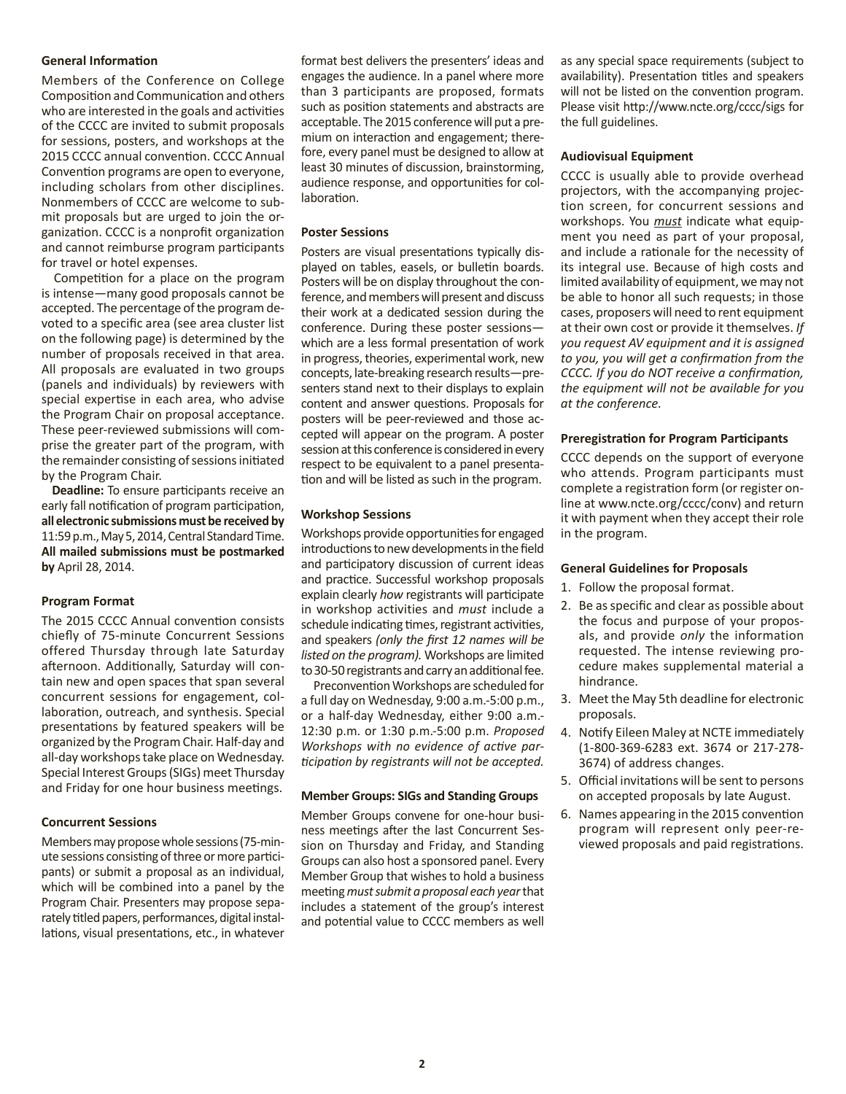#### **General Information**

Members of the Conference on College Composition and Communication and others who are interested in the goals and activities of the CCCC are invited to submit proposals for sessions, posters, and workshops at the 2015 CCCC annual convention. CCCC Annual Convention programs are open to everyone, including scholars from other disciplines. Nonmembers of CCCC are welcome to submit proposals but are urged to join the organization. CCCC is a nonprofit organization and cannot reimburse program participants for travel or hotel expenses.

Competition for a place on the program is intense—many good proposals cannot be accepted. The percentage of the program devoted to a specific area (see area cluster list on the following page) is determined by the number of proposals received in that area. All proposals are evaluated in two groups (panels and individuals) by reviewers with special expertise in each area, who advise the Program Chair on proposal acceptance. These peer-reviewed submissions will comprise the greater part of the program, with the remainder consisting of sessions initiated by the Program Chair.

 **Deadline:** To ensure participants receive an early fall notification of program participation, **all electronic submissions must be received by** 11:59 p.m., May 5, 2014, Central Standard Time. **All mailed submissions must be postmarked by** April 28, 2014.

#### **Program Format**

The 2015 CCCC Annual convention consists chiefly of 75-minute Concurrent Sessions offered Thursday through late Saturday afternoon. Additionally, Saturday will contain new and open spaces that span several concurrent sessions for engagement, collaboration, outreach, and synthesis. Special presentations by featured speakers will be organized by the Program Chair. Half-day and all-day workshops take place on Wednesday. Special Interest Groups (SIGs) meet Thursday and Friday for one hour business meetings.

#### **Concurrent Sessions**

Members may propose whole sessions (75-minute sessions consisting of three or more participants) or submit a proposal as an individual, which will be combined into a panel by the Program Chair. Presenters may propose separately titled papers, performances, digital installations, visual presentations, etc., in whatever

format best delivers the presenters' ideas and engages the audience. In a panel where more than 3 participants are proposed, formats such as position statements and abstracts are acceptable. The 2015 conference will put a premium on interaction and engagement; therefore, every panel must be designed to allow at least 30 minutes of discussion, brainstorming, audience response, and opportunities for collaboration.

#### **Poster Sessions**

Posters are visual presentations typically displayed on tables, easels, or bulletin boards. Posters will be on display throughout the conference, and members will present and discuss their work at a dedicated session during the conference. During these poster sessions which are a less formal presentation of work in progress, theories, experimental work, new concepts, late-breaking research results—presenters stand next to their displays to explain content and answer questions. Proposals for posters will be peer-reviewed and those accepted will appear on the program. A poster session at this conference is considered in every respect to be equivalent to a panel presentation and will be listed as such in the program.

#### **Workshop Sessions**

Workshops provide opportunities for engaged introductions to new developments in the field and participatory discussion of current ideas and practice. Successful workshop proposals explain clearly *how* registrants will participate in workshop activities and *must* include a schedule indicating times, registrant activities, and speakers *(only the first 12 names will be listed on the program).* Workshops are limited to 30-50 registrants and carry an additional fee.

Preconvention Workshops are scheduled for a full day on Wednesday, 9:00 a.m.-5:00 p.m., or a half-day Wednesday, either 9:00 a.m.- 12:30 p.m. or 1:30 p.m.-5:00 p.m. *Proposed Workshops with no evidence of active participation by registrants will not be accepted.*

#### **Member Groups: SIGs and Standing Groups**

Member Groups convene for one-hour business meetings after the last Concurrent Session on Thursday and Friday, and Standing Groups can also host a sponsored panel. Every Member Group that wishes to hold a business meeting *must submit a proposal each year* that includes a statement of the group's interest and potential value to CCCC members as well

as any special space requirements (subject to availability). Presentation titles and speakers will not be listed on the convention program. Please visit http://www.ncte.org/cccc/sigs for the full guidelines.

#### **Audiovisual Equipment**

CCCC is usually able to provide overhead projectors, with the accompanying projection screen, for concurrent sessions and workshops. You *must* indicate what equipment you need as part of your proposal, and include a rationale for the necessity of its integral use. Because of high costs and limited availability of equipment, we may not be able to honor all such requests; in those cases, proposers will need to rent equipment at their own cost or provide it themselves. *If you request AV equipment and it is assigned to you, you will get a confirmation from the CCCC. If you do NOT receive a confirmation, the equipment will not be available for you at the conference.* 

#### **Preregistration for Program Participants**

CCCC depends on the support of everyone who attends. Program participants must complete a registration form (or register online at www.ncte.org/cccc/conv) and return it with payment when they accept their role in the program.

#### **General Guidelines for Proposals**

- 1. Follow the proposal format.
- 2. Be as specific and clear as possible about the focus and purpose of your proposals, and provide *only* the information requested. The intense reviewing procedure makes supplemental material a hindrance.
- 3. Meet the May 5th deadline for electronic proposals.
- 4. Notify Eileen Maley at NCTE immediately (1-800-369-6283 ext. 3674 or 217-278- 3674) of address changes.
- 5. Official invitations will be sent to persons on accepted proposals by late August.
- 6. Names appearing in the 2015 convention program will represent only peer-reviewed proposals and paid registrations.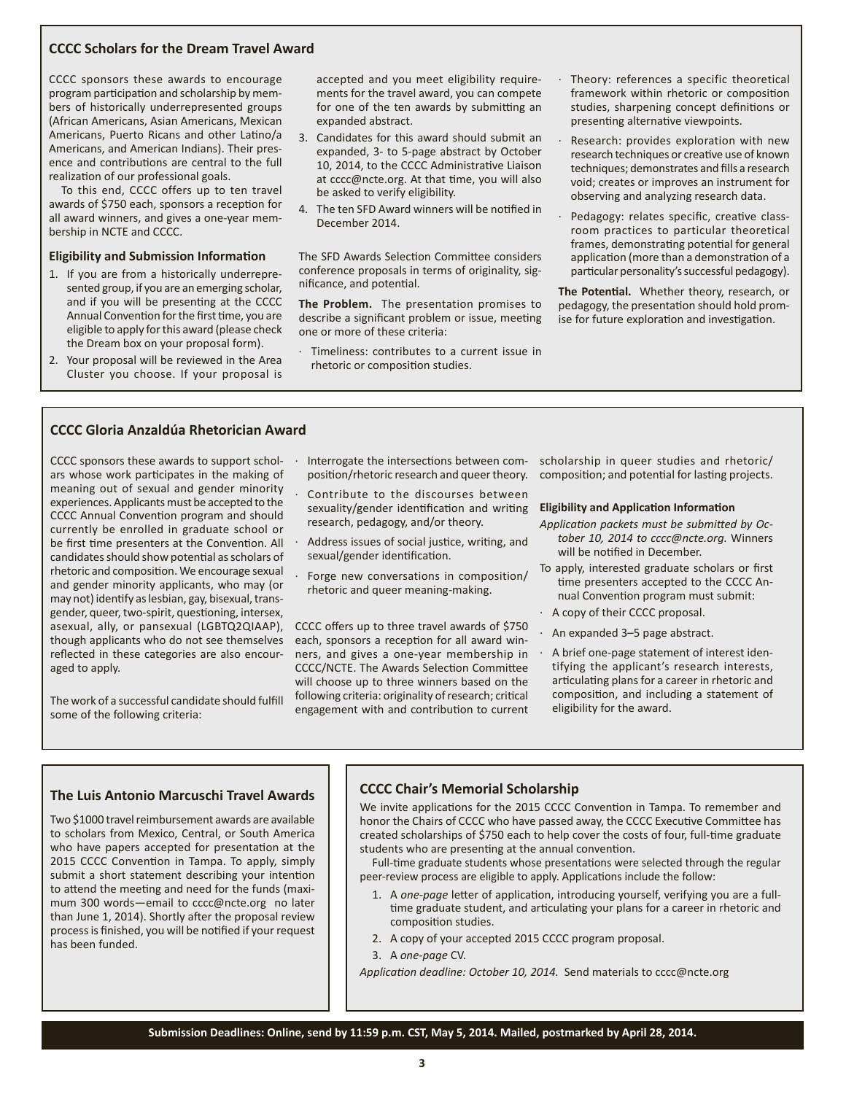### **CCCC Scholars for the Dream Travel Award**

CCCC sponsors these awards to encourage program participation and scholarship by members of historically underrepresented groups (African Americans, Asian Americans, Mexican Americans, Puerto Ricans and other Latino/a Americans, and American Indians). Their presence and contributions are central to the full realization of our professional goals.

To this end, CCCC offers up to ten travel awards of \$750 each, sponsors a reception for all award winners, and gives a one-year membership in NCTE and CCCC.

#### **Eligibility and Submission Information**

- 1. If you are from a historically underrepresented group, if you are an emerging scholar, and if you will be presenting at the CCCC Annual Convention for the first time, you are eligible to apply for this award (please check the Dream box on your proposal form).
- 2. Your proposal will be reviewed in the Area Cluster you choose. If your proposal is

accepted and you meet eligibility requirements for the travel award, you can compete for one of the ten awards by submitting an expanded abstract.

- 3. Candidates for this award should submit an expanded, 3- to 5-page abstract by October 10, 2014, to the CCCC Administrative Liaison at cccc@ncte.org. At that time, you will also be asked to verify eligibility.
- 4. The ten SFD Award winners will be notified in December 2014.

The SFD Awards Selection Committee considers conference proposals in terms of originality, significance, and potential.

**The Problem.** The presentation promises to describe a significant problem or issue, meeting one or more of these criteria:

Timeliness: contributes to a current issue in rhetoric or composition studies.

- Theory: references a specific theoretical framework within rhetoric or composition studies, sharpening concept definitions or presenting alternative viewpoints.
- Research: provides exploration with new research techniques or creative use of known techniques; demonstrates and fills a research void; creates or improves an instrument for observing and analyzing research data.
- Pedagogy: relates specific, creative classroom practices to particular theoretical frames, demonstrating potential for general application (more than a demonstration of a particular personality's successful pedagogy).

**The Potential.** Whether theory, research, or pedagogy, the presentation should hold promise for future exploration and investigation.

#### **CCCC Gloria Anzaldúa Rhetorician Award**

CCCC sponsors these awards to support scholars whose work participates in the making of meaning out of sexual and gender minority experiences. Applicants must be accepted to the CCCC Annual Convention program and should currently be enrolled in graduate school or be first time presenters at the Convention. All candidates should show potential as scholars of rhetoric and composition. We encourage sexual and gender minority applicants, who may (or may not) identify as lesbian, gay, bisexual, transgender, queer, two-spirit, questioning, intersex, asexual, ally, or pansexual (LGBTQ2QIAAP), though applicants who do not see themselves reflected in these categories are also encouraged to apply.

The work of a successful candidate should fulfill some of the following criteria:

- · Interrogate the intersections between composition/rhetoric research and queer theory.
	- Contribute to the discourses between sexuality/gender identification and writing research, pedagogy, and/or theory.
- Address issues of social justice, writing, and sexual/gender identification.
- Forge new conversations in composition/ rhetoric and queer meaning-making.

CCCC offers up to three travel awards of \$750 each, sponsors a reception for all award winners, and gives a one-year membership in CCCC/NCTE. The Awards Selection Committee will choose up to three winners based on the following criteria: originality of research; critical engagement with and contribution to current scholarship in queer studies and rhetoric/ composition; and potential for lasting projects.

#### **Eligibility and Application Information**

- *Application packets must be submitted by October 10, 2014 to cccc@ncte.org.* Winners will be notified in December.
- To apply, interested graduate scholars or first time presenters accepted to the CCCC Annual Convention program must submit:
- · A copy of their CCCC proposal.
- An expanded 3-5 page abstract.
- · A brief one-page statement of interest identifying the applicant's research interests, articulating plans for a career in rhetoric and composition, and including a statement of eligibility for the award.

### **The Luis Antonio Marcuschi Travel Awards**

Two \$1000 travel reimbursement awards are available to scholars from Mexico, Central, or South America who have papers accepted for presentation at the 2015 CCCC Convention in Tampa. To apply, simply submit a short statement describing your intention to attend the meeting and need for the funds (maximum 300 words—email to cccc@ncte.org no later than June 1, 2014). Shortly after the proposal review process is finished, you will be notified if your request has been funded.

#### **CCCC Chair's Memorial Scholarship**

We invite applications for the 2015 CCCC Convention in Tampa. To remember and honor the Chairs of CCCC who have passed away, the CCCC Executive Committee has created scholarships of \$750 each to help cover the costs of four, full-time graduate students who are presenting at the annual convention.

Full-time graduate students whose presentations were selected through the regular peer-review process are eligible to apply. Applications include the follow:

- 1. A *one-page* letter of application, introducing yourself, verifying you are a fulltime graduate student, and articulating your plans for a career in rhetoric and composition studies.
- 2. A copy of your accepted 2015 CCCC program proposal.
- 3. A *one-page* CV.

*Application deadline: October 10, 2014.* Send materials to cccc@ncte.org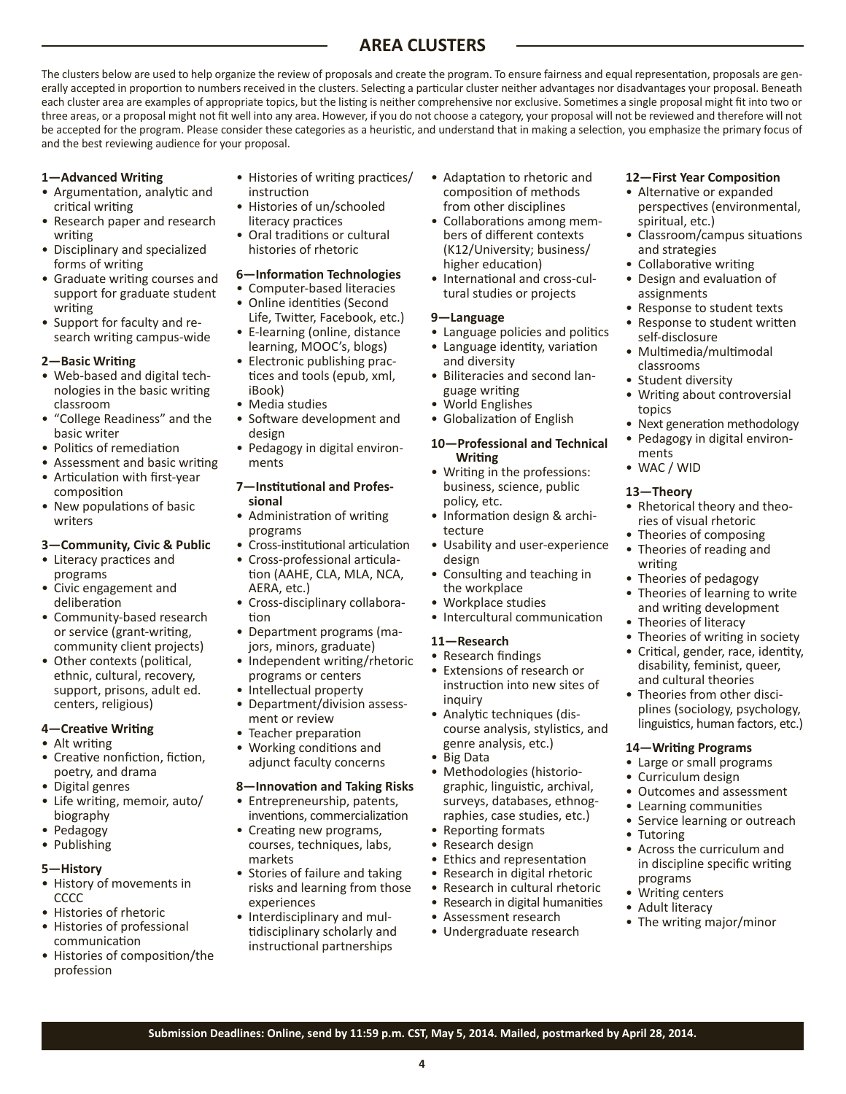# **AREA CLUSTERS**

The clusters below are used to help organize the review of proposals and create the program. To ensure fairness and equal representation, proposals are generally accepted in proportion to numbers received in the clusters. Selecting a particular cluster neither advantages nor disadvantages your proposal. Beneath each cluster area are examples of appropriate topics, but the listing is neither comprehensive nor exclusive. Sometimes a single proposal might fit into two or three areas, or a proposal might not fit well into any area. However, if you do not choose a category, your proposal will not be reviewed and therefore will not be accepted for the program. Please consider these categories as a heuristic, and understand that in making a selection, you emphasize the primary focus of and the best reviewing audience for your proposal.

# **1—Advanced Writing**

- Argumentation, analytic and critical writing
- Research paper and research writing
- Disciplinary and specialized forms of writing
- Graduate writing courses and support for graduate student writing
- Support for faculty and research writing campus-wide

### **2—Basic Writing**

- Web-based and digital technologies in the basic writing classroom
- "College Readiness" and the basic writer
- Politics of remediation
- Assessment and basic writing
- Articulation with first-year composition
- New populations of basic writers
- **3—Community, Civic & Public**
- Literacy practices and programs
- Civic engagement and deliberation
- Community-based research or service (grant-writing, community client projects)
- Other contexts (political, ethnic, cultural, recovery, support, prisons, adult ed. centers, religious)

# **4—Creative Writing**

- Alt writing
- Creative nonfiction, fiction, poetry, and drama
- Digital genres
- Life writing, memoir, auto/ biography
- Pedagogy
- Publishing

#### **5—History**

- History of movements in **CCCC**
- Histories of rhetoric
- Histories of professional communication
- Histories of composition/the profession
- Histories of writing practices/ instruction
- Histories of un/schooled literacy practices
- Oral traditions or cultural histories of rhetoric
- **6—Information Technologies**
- Computer-based literacies • Online identities (Second
- Life, Twitter, Facebook, etc.) • E-learning (online, distance
- learning, MOOC's, blogs) • Electronic publishing prac-
- tices and tools (epub, xml, iBook)
- Media studies
- Software development and design
- Pedagogy in digital environments

# **7—Institutional and Professional**

- Administration of writing programs
- Cross-institutional articulation
- Cross-professional articulation (AAHE, CLA, MLA, NCA, AERA, etc.)
- Cross-disciplinary collaboration • Department programs (ma-
- jors, minors, graduate)
- Independent writing/rhetoric programs or centers
- Intellectual property
- Department/division assessment or review
- Teacher preparation
- Working conditions and adjunct faculty concerns

# **8—Innovation and Taking Risks**

- Entrepreneurship, patents, inventions, commercialization
- Creating new programs, courses, techniques, labs, markets
- Stories of failure and taking risks and learning from those experiences
- Interdisciplinary and multidisciplinary scholarly and instructional partnerships
- Adaptation to rhetoric and composition of methods from other disciplines
- Collaborations among members of different contexts (K12/University; business/ higher education)
- International and cross-cultural studies or projects

### **9—Language**

- Language policies and politics • Language identity, variation and diversity
- Biliteracies and second language writing
- World Englishes
- Globalization of English

#### **10—Professional and Technical Writing**

- Writing in the professions: business, science, public policy, etc.
- Information design & architecture
- Usability and user-experience design
- Consulting and teaching in the workplace
- Workplace studies
- Intercultural communication

# **11—Research**

# • Research findings

- Extensions of research or instruction into new sites of inquiry
- Analytic techniques (discourse analysis, stylistics, and genre analysis, etc.)
- Big Data

**4**

**Submission Deadlines: Online, send by 11:59 p.m. CST, May 5, 2014. Mailed, postmarked by April 28, 2014.**

- Methodologies (historiographic, linguistic, archival, surveys, databases, ethnographies, case studies, etc.)
- Reporting formats
- Research design
- Ethics and representation
- Research in digital rhetoric
- Research in cultural rhetoric • Research in digital humanities
- Assessment research
- Undergraduate research

# **12—First Year Composition**

- Alternative or expanded perspectives (environmental, spiritual, etc.)
- Classroom/campus situations and strategies
- Collaborative writing
- Design and evaluation of assignments
- Response to student texts
- Response to student written self-disclosure
- Multimedia/multimodal classrooms
- Student diversity
- Writing about controversial topics
- Next generation methodology
- Pedagogy in digital environments

• Rhetorical theory and theories of visual rhetoric • Theories of composing • Theories of reading and

• Theories of writing in society • Critical, gender, race, identity, disability, feminist, queer, and cultural theories • Theories from other disciplines (sociology, psychology, linguistics, human factors, etc.)

• Theories of pedagogy • Theories of learning to write and writing development • Theories of literacy

**14—Writing Programs** • Large or small programs • Curriculum design

• Tutoring

programs • Writing centers • Adult literacy

• Outcomes and assessment • Learning communities • Service learning or outreach

• Across the curriculum and in discipline specific writing

• The writing major/minor

• WAC / WID **13—Theory**

writing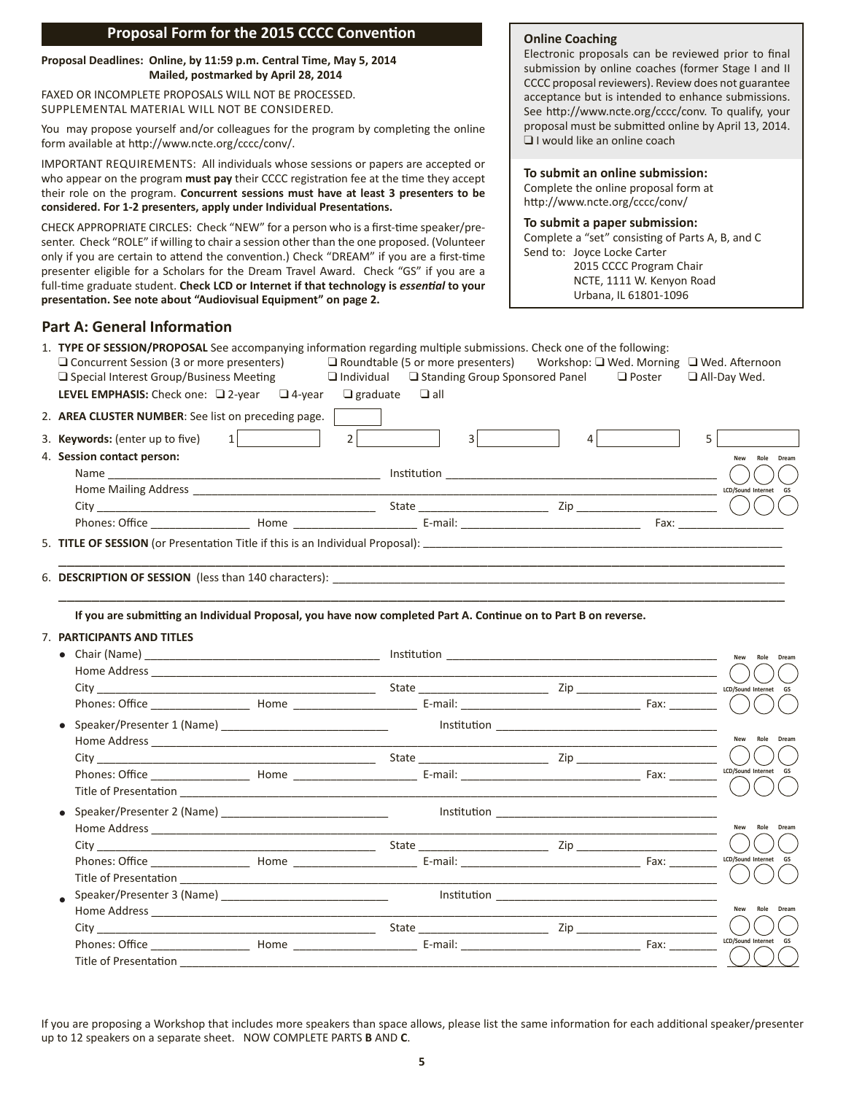# **Proposal Form for the 2015 CCCC Convention**

#### **Proposal Deadlines: Online, by 11:59 p.m. Central Time, May 5, 2014 Mailed, postmarked by April 28, 2014**

FAXED OR INCOMPLETE PROPOSALS WILL NOT BE PROCESSED. SUPPLEMENTAL MATERIAL WILL NOT BE CONSIDERED.

You may propose yourself and/or colleagues for the program by completing the online form available at http://www.ncte.org/cccc/conv/.

IMPORTANT REQUIREMENTS: All individuals whose sessions or papers are accepted or who appear on the program **must pay** their CCCC registration fee at the time they accept their role on the program. **Concurrent sessions must have at least 3 presenters to be considered. For 1-2 presenters, apply under Individual Presentations.**

CHECK APPROPRIATE CIRCLES: Check "NEW" for a person who is a first-time speaker/presenter. Check "ROLE" if willing to chair a session other than the one proposed. (Volunteer only if you are certain to attend the convention.) Check "DREAM" if you are a first-time presenter eligible for a Scholars for the Dream Travel Award. Check "GS" if you are a full-time graduate student. **Check LCD or Internet if that technology is** *essential* **to your presentation. See note about "Audiovisual Equipment" on page 2.**

# **Online Coaching**

Electronic proposals can be reviewed prior to final submission by online coaches (former Stage I and II CCCC proposal reviewers). Review does not guarantee acceptance but is intended to enhance submissions. See http://www.ncte.org/cccc/conv. To qualify, your proposal must be submitted online by April 13, 2014. ❑ I would like an online coach

#### **To submit an online submission:**

Complete the online proposal form at http://www.ncte.org/cccc/conv/

### **To submit a paper submission:**

Complete a "set" consisting of Parts A, B, and C Send to: Joyce Locke Carter 2015 CCCC Program Chair NCTE, 1111 W. Kenyon Road Urbana, IL 61801-1096

# **Part A: General Information**

| $\Box$ Concurrent Session (3 or more presenters)<br>$\Box$ Roundtable (5 or more presenters) Workshop: $\Box$ Wed. Morning $\Box$ Wed. Afternoon<br>$\Box$ Individual $\Box$ Standing Group Sponsored Panel<br>□ Special Interest Group/Business Meeting<br>$\Box$ Poster<br>$\Box$ All-Day Wed.<br><b>LEVEL EMPHASIS:</b> Check one: $\Box$ 2-year $\Box$ 4-year<br>$\Box$ graduate $\Box$ all<br>2. AREA CLUSTER NUMBER: See list on preceding page.<br>$2\begin{bmatrix} 2 \end{bmatrix}$<br>3 <sup>2</sup><br>$\mathbf{1}$<br>4 <br>5<br>3. Keywords: (enter up to five)<br>4. Session contact person:<br>LCD/Sound Internet GS<br>If you are submitting an Individual Proposal, you have now completed Part A. Continue on to Part B on reverse.<br>7. PARTICIPANTS AND TITLES<br>New Role Dream<br>$\left($<br>$T = \frac{C_1}{C_2}$ $T = \frac{C_3}{C_4}$ $T = \frac{C_4}{C_5}$ $T = \frac{C_5}{C_6}$ $T = \frac{C_7}{C_7}$ $T = \frac{C_8}{C_7}$ $T = \frac{C_8}{C_8}$ $T = \frac{C_9}{C_9}$ $T = \frac{C_9}{C_9}$ $T = \frac{C_9}{C_9}$<br>New Role Dream<br>LCD/Sound Internet GS |  | 1. TYPE OF SESSION/PROPOSAL See accompanying information regarding multiple submissions. Check one of the following: |  |  |  |  |  |                |
|---------------------------------------------------------------------------------------------------------------------------------------------------------------------------------------------------------------------------------------------------------------------------------------------------------------------------------------------------------------------------------------------------------------------------------------------------------------------------------------------------------------------------------------------------------------------------------------------------------------------------------------------------------------------------------------------------------------------------------------------------------------------------------------------------------------------------------------------------------------------------------------------------------------------------------------------------------------------------------------------------------------------------------------------------------------------------------------------|--|----------------------------------------------------------------------------------------------------------------------|--|--|--|--|--|----------------|
|                                                                                                                                                                                                                                                                                                                                                                                                                                                                                                                                                                                                                                                                                                                                                                                                                                                                                                                                                                                                                                                                                             |  |                                                                                                                      |  |  |  |  |  |                |
|                                                                                                                                                                                                                                                                                                                                                                                                                                                                                                                                                                                                                                                                                                                                                                                                                                                                                                                                                                                                                                                                                             |  |                                                                                                                      |  |  |  |  |  |                |
|                                                                                                                                                                                                                                                                                                                                                                                                                                                                                                                                                                                                                                                                                                                                                                                                                                                                                                                                                                                                                                                                                             |  |                                                                                                                      |  |  |  |  |  |                |
|                                                                                                                                                                                                                                                                                                                                                                                                                                                                                                                                                                                                                                                                                                                                                                                                                                                                                                                                                                                                                                                                                             |  |                                                                                                                      |  |  |  |  |  |                |
|                                                                                                                                                                                                                                                                                                                                                                                                                                                                                                                                                                                                                                                                                                                                                                                                                                                                                                                                                                                                                                                                                             |  |                                                                                                                      |  |  |  |  |  |                |
|                                                                                                                                                                                                                                                                                                                                                                                                                                                                                                                                                                                                                                                                                                                                                                                                                                                                                                                                                                                                                                                                                             |  |                                                                                                                      |  |  |  |  |  | New Role Dream |
|                                                                                                                                                                                                                                                                                                                                                                                                                                                                                                                                                                                                                                                                                                                                                                                                                                                                                                                                                                                                                                                                                             |  |                                                                                                                      |  |  |  |  |  |                |
|                                                                                                                                                                                                                                                                                                                                                                                                                                                                                                                                                                                                                                                                                                                                                                                                                                                                                                                                                                                                                                                                                             |  |                                                                                                                      |  |  |  |  |  |                |
|                                                                                                                                                                                                                                                                                                                                                                                                                                                                                                                                                                                                                                                                                                                                                                                                                                                                                                                                                                                                                                                                                             |  |                                                                                                                      |  |  |  |  |  |                |
|                                                                                                                                                                                                                                                                                                                                                                                                                                                                                                                                                                                                                                                                                                                                                                                                                                                                                                                                                                                                                                                                                             |  |                                                                                                                      |  |  |  |  |  |                |
|                                                                                                                                                                                                                                                                                                                                                                                                                                                                                                                                                                                                                                                                                                                                                                                                                                                                                                                                                                                                                                                                                             |  |                                                                                                                      |  |  |  |  |  |                |
|                                                                                                                                                                                                                                                                                                                                                                                                                                                                                                                                                                                                                                                                                                                                                                                                                                                                                                                                                                                                                                                                                             |  |                                                                                                                      |  |  |  |  |  |                |
|                                                                                                                                                                                                                                                                                                                                                                                                                                                                                                                                                                                                                                                                                                                                                                                                                                                                                                                                                                                                                                                                                             |  |                                                                                                                      |  |  |  |  |  |                |
|                                                                                                                                                                                                                                                                                                                                                                                                                                                                                                                                                                                                                                                                                                                                                                                                                                                                                                                                                                                                                                                                                             |  |                                                                                                                      |  |  |  |  |  |                |
|                                                                                                                                                                                                                                                                                                                                                                                                                                                                                                                                                                                                                                                                                                                                                                                                                                                                                                                                                                                                                                                                                             |  |                                                                                                                      |  |  |  |  |  |                |
|                                                                                                                                                                                                                                                                                                                                                                                                                                                                                                                                                                                                                                                                                                                                                                                                                                                                                                                                                                                                                                                                                             |  |                                                                                                                      |  |  |  |  |  |                |
|                                                                                                                                                                                                                                                                                                                                                                                                                                                                                                                                                                                                                                                                                                                                                                                                                                                                                                                                                                                                                                                                                             |  |                                                                                                                      |  |  |  |  |  |                |
|                                                                                                                                                                                                                                                                                                                                                                                                                                                                                                                                                                                                                                                                                                                                                                                                                                                                                                                                                                                                                                                                                             |  |                                                                                                                      |  |  |  |  |  |                |
|                                                                                                                                                                                                                                                                                                                                                                                                                                                                                                                                                                                                                                                                                                                                                                                                                                                                                                                                                                                                                                                                                             |  |                                                                                                                      |  |  |  |  |  |                |
|                                                                                                                                                                                                                                                                                                                                                                                                                                                                                                                                                                                                                                                                                                                                                                                                                                                                                                                                                                                                                                                                                             |  |                                                                                                                      |  |  |  |  |  |                |
|                                                                                                                                                                                                                                                                                                                                                                                                                                                                                                                                                                                                                                                                                                                                                                                                                                                                                                                                                                                                                                                                                             |  |                                                                                                                      |  |  |  |  |  |                |
|                                                                                                                                                                                                                                                                                                                                                                                                                                                                                                                                                                                                                                                                                                                                                                                                                                                                                                                                                                                                                                                                                             |  |                                                                                                                      |  |  |  |  |  | New Role Dream |
|                                                                                                                                                                                                                                                                                                                                                                                                                                                                                                                                                                                                                                                                                                                                                                                                                                                                                                                                                                                                                                                                                             |  |                                                                                                                      |  |  |  |  |  |                |
|                                                                                                                                                                                                                                                                                                                                                                                                                                                                                                                                                                                                                                                                                                                                                                                                                                                                                                                                                                                                                                                                                             |  |                                                                                                                      |  |  |  |  |  |                |
|                                                                                                                                                                                                                                                                                                                                                                                                                                                                                                                                                                                                                                                                                                                                                                                                                                                                                                                                                                                                                                                                                             |  |                                                                                                                      |  |  |  |  |  |                |
|                                                                                                                                                                                                                                                                                                                                                                                                                                                                                                                                                                                                                                                                                                                                                                                                                                                                                                                                                                                                                                                                                             |  |                                                                                                                      |  |  |  |  |  |                |
|                                                                                                                                                                                                                                                                                                                                                                                                                                                                                                                                                                                                                                                                                                                                                                                                                                                                                                                                                                                                                                                                                             |  |                                                                                                                      |  |  |  |  |  |                |
|                                                                                                                                                                                                                                                                                                                                                                                                                                                                                                                                                                                                                                                                                                                                                                                                                                                                                                                                                                                                                                                                                             |  |                                                                                                                      |  |  |  |  |  |                |
|                                                                                                                                                                                                                                                                                                                                                                                                                                                                                                                                                                                                                                                                                                                                                                                                                                                                                                                                                                                                                                                                                             |  |                                                                                                                      |  |  |  |  |  |                |
|                                                                                                                                                                                                                                                                                                                                                                                                                                                                                                                                                                                                                                                                                                                                                                                                                                                                                                                                                                                                                                                                                             |  |                                                                                                                      |  |  |  |  |  |                |
|                                                                                                                                                                                                                                                                                                                                                                                                                                                                                                                                                                                                                                                                                                                                                                                                                                                                                                                                                                                                                                                                                             |  |                                                                                                                      |  |  |  |  |  |                |
|                                                                                                                                                                                                                                                                                                                                                                                                                                                                                                                                                                                                                                                                                                                                                                                                                                                                                                                                                                                                                                                                                             |  |                                                                                                                      |  |  |  |  |  | New Role Dream |
|                                                                                                                                                                                                                                                                                                                                                                                                                                                                                                                                                                                                                                                                                                                                                                                                                                                                                                                                                                                                                                                                                             |  |                                                                                                                      |  |  |  |  |  |                |
| LCD/Sound Internet GS                                                                                                                                                                                                                                                                                                                                                                                                                                                                                                                                                                                                                                                                                                                                                                                                                                                                                                                                                                                                                                                                       |  |                                                                                                                      |  |  |  |  |  |                |
| Title of Presentation                                                                                                                                                                                                                                                                                                                                                                                                                                                                                                                                                                                                                                                                                                                                                                                                                                                                                                                                                                                                                                                                       |  |                                                                                                                      |  |  |  |  |  |                |

If you are proposing a Workshop that includes more speakers than space allows, please list the same information for each additional speaker/presenter up to 12 speakers on a separate sheet. NOW COMPLETE PARTS **B** AND **C**.